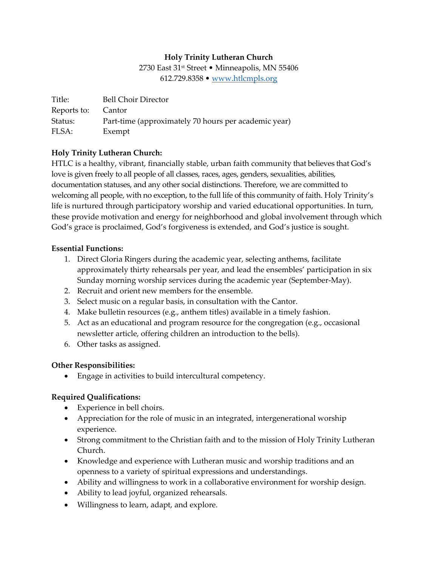## Holy Trinity Lutheran Church

2730 East 31st Street • Minneapolis, MN 55406 612.729.8358 • www.htlcmpls.org

| Title:             | <b>Bell Choir Director</b>                           |
|--------------------|------------------------------------------------------|
| Reports to: Cantor |                                                      |
| Status:            | Part-time (approximately 70 hours per academic year) |
| FLSA:              | Exempt                                               |

### Holy Trinity Lutheran Church:

HTLC is a healthy, vibrant, financially stable, urban faith community that believes that God's love is given freely to all people of all classes, races, ages, genders, sexualities, abilities, documentation statuses, and any other social distinctions. Therefore, we are committed to welcoming all people, with no exception, to the full life of this community of faith. Holy Trinity's life is nurtured through participatory worship and varied educational opportunities. In turn, these provide motivation and energy for neighborhood and global involvement through which God's grace is proclaimed, God's forgiveness is extended, and God's justice is sought.

### Essential Functions:

- 1. Direct Gloria Ringers during the academic year, selecting anthems, facilitate approximately thirty rehearsals per year, and lead the ensembles' participation in six Sunday morning worship services during the academic year (September-May).
- 2. Recruit and orient new members for the ensemble.
- 3. Select music on a regular basis, in consultation with the Cantor.
- 4. Make bulletin resources (e.g., anthem titles) available in a timely fashion.
- 5. Act as an educational and program resource for the congregation (e.g., occasional newsletter article, offering children an introduction to the bells).
- 6. Other tasks as assigned.

#### Other Responsibilities:

Engage in activities to build intercultural competency.

# Required Qualifications:

- Experience in bell choirs.
- Appreciation for the role of music in an integrated, intergenerational worship experience.
- Strong commitment to the Christian faith and to the mission of Holy Trinity Lutheran Church.
- Knowledge and experience with Lutheran music and worship traditions and an openness to a variety of spiritual expressions and understandings.
- Ability and willingness to work in a collaborative environment for worship design.
- Ability to lead joyful, organized rehearsals.
- Willingness to learn, adapt, and explore.